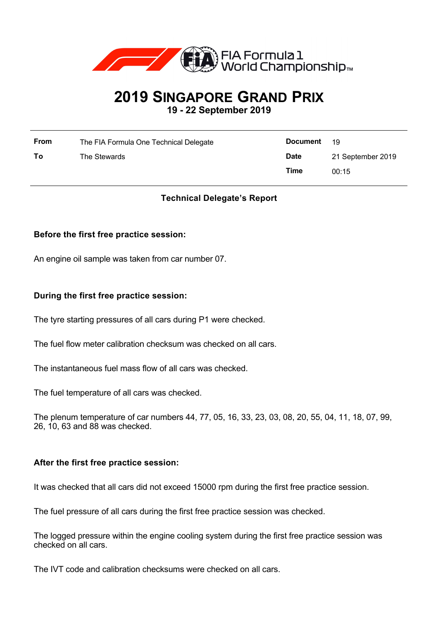

# **2019 SINGAPORE GRAND PRIX 19 - 22 September 2019**

| <b>From</b> | The FIA Formula One Technical Delegate | <b>Document</b> | -19               |
|-------------|----------------------------------------|-----------------|-------------------|
| To          | The Stewards                           | <b>Date</b>     | 21 September 2019 |
|             |                                        | Time            | 00:15             |

# **Technical Delegate's Report**

# **Before the first free practice session:**

An engine oil sample was taken from car number 07.

# **During the first free practice session:**

The tyre starting pressures of all cars during P1 were checked.

The fuel flow meter calibration checksum was checked on all cars.

The instantaneous fuel mass flow of all cars was checked.

The fuel temperature of all cars was checked.

The plenum temperature of car numbers 44, 77, 05, 16, 33, 23, 03, 08, 20, 55, 04, 11, 18, 07, 99, 26, 10, 63 and 88 was checked.

#### **After the first free practice session:**

It was checked that all cars did not exceed 15000 rpm during the first free practice session.

The fuel pressure of all cars during the first free practice session was checked.

The logged pressure within the engine cooling system during the first free practice session was checked on all cars.

The IVT code and calibration checksums were checked on all cars.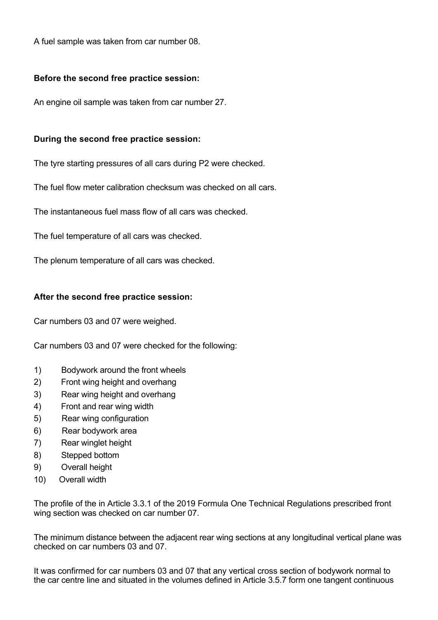A fuel sample was taken from car number 08.

# **Before the second free practice session:**

An engine oil sample was taken from car number 27.

# **During the second free practice session:**

The tyre starting pressures of all cars during P2 were checked.

The fuel flow meter calibration checksum was checked on all cars.

The instantaneous fuel mass flow of all cars was checked.

The fuel temperature of all cars was checked.

The plenum temperature of all cars was checked.

# **After the second free practice session:**

Car numbers 03 and 07 were weighed.

Car numbers 03 and 07 were checked for the following:

- 1) Bodywork around the front wheels
- 2) Front wing height and overhang
- 3) Rear wing height and overhang
- 4) Front and rear wing width
- 5) Rear wing configuration
- 6) Rear bodywork area
- 7) Rear winglet height
- 8) Stepped bottom
- 9) Overall height
- 10) Overall width

The profile of the in Article 3.3.1 of the 2019 Formula One Technical Regulations prescribed front wing section was checked on car number 07.

The minimum distance between the adjacent rear wing sections at any longitudinal vertical plane was checked on car numbers 03 and 07.

It was confirmed for car numbers 03 and 07 that any vertical cross section of bodywork normal to the car centre line and situated in the volumes defined in Article 3.5.7 form one tangent continuous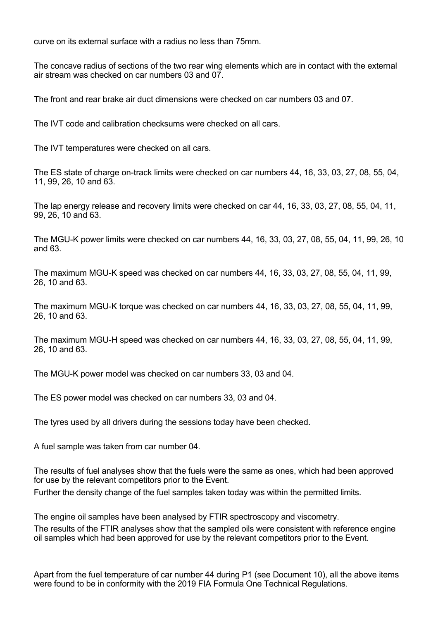curve on its external surface with a radius no less than 75mm.

The concave radius of sections of the two rear wing elements which are in contact with the external air stream was checked on car numbers 03 and 07.

The front and rear brake air duct dimensions were checked on car numbers 03 and 07.

The IVT code and calibration checksums were checked on all cars.

The IVT temperatures were checked on all cars.

The ES state of charge on-track limits were checked on car numbers 44, 16, 33, 03, 27, 08, 55, 04, 11, 99, 26, 10 and 63.

The lap energy release and recovery limits were checked on car 44, 16, 33, 03, 27, 08, 55, 04, 11, 99, 26, 10 and 63.

The MGU-K power limits were checked on car numbers 44, 16, 33, 03, 27, 08, 55, 04, 11, 99, 26, 10 and 63.

The maximum MGU-K speed was checked on car numbers 44, 16, 33, 03, 27, 08, 55, 04, 11, 99, 26, 10 and 63.

The maximum MGU-K torque was checked on car numbers 44, 16, 33, 03, 27, 08, 55, 04, 11, 99, 26, 10 and 63.

The maximum MGU-H speed was checked on car numbers 44, 16, 33, 03, 27, 08, 55, 04, 11, 99, 26, 10 and 63.

The MGU-K power model was checked on car numbers 33, 03 and 04.

The ES power model was checked on car numbers 33, 03 and 04.

The tyres used by all drivers during the sessions today have been checked.

A fuel sample was taken from car number 04.

The results of fuel analyses show that the fuels were the same as ones, which had been approved for use by the relevant competitors prior to the Event.

Further the density change of the fuel samples taken today was within the permitted limits.

The engine oil samples have been analysed by FTIR spectroscopy and viscometry. The results of the FTIR analyses show that the sampled oils were consistent with reference engine oil samples which had been approved for use by the relevant competitors prior to the Event.

Apart from the fuel temperature of car number 44 during P1 (see Document 10), all the above items were found to be in conformity with the 2019 FIA Formula One Technical Regulations.